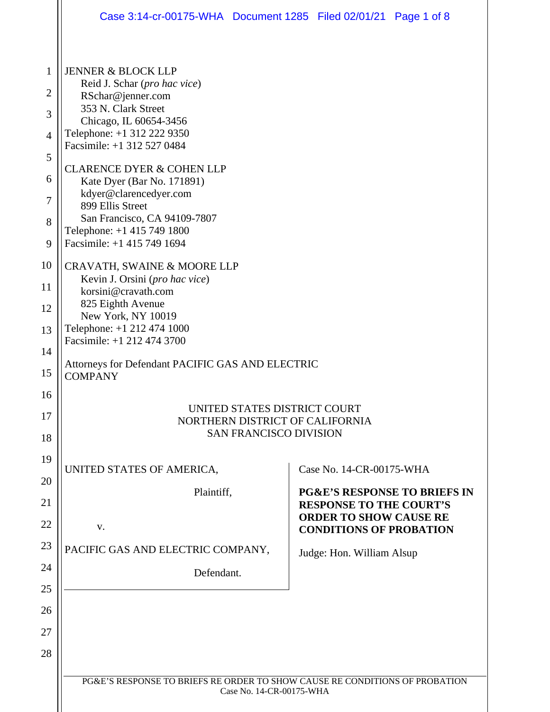|                | Case 3:14-cr-00175-WHA  Document 1285  Filed 02/01/21  Page 1 of 8                                      |  |                                                                           |  |  |
|----------------|---------------------------------------------------------------------------------------------------------|--|---------------------------------------------------------------------------|--|--|
| 1              | <b>JENNER &amp; BLOCK LLP</b>                                                                           |  |                                                                           |  |  |
| $\overline{2}$ | Reid J. Schar (pro hac vice)<br>RSchar@jenner.com                                                       |  |                                                                           |  |  |
| 3              | 353 N. Clark Street<br>Chicago, IL 60654-3456                                                           |  |                                                                           |  |  |
| $\overline{4}$ | Telephone: +1 312 222 9350                                                                              |  |                                                                           |  |  |
| 5              | Facsimile: +1 312 527 0484                                                                              |  |                                                                           |  |  |
| 6              | <b>CLARENCE DYER &amp; COHEN LLP</b><br>Kate Dyer (Bar No. 171891)                                      |  |                                                                           |  |  |
| 7              | kdyer@clarencedyer.com<br>899 Ellis Street                                                              |  |                                                                           |  |  |
| 8              | San Francisco, CA 94109-7807<br>Telephone: +1 415 749 1800                                              |  |                                                                           |  |  |
| 9              | Facsimile: +1 415 749 1694                                                                              |  |                                                                           |  |  |
| 10             | CRAVATH, SWAINE & MOORE LLP<br>Kevin J. Orsini (pro hac vice)<br>korsini@cravath.com                    |  |                                                                           |  |  |
| 11             |                                                                                                         |  |                                                                           |  |  |
| 12             | 825 Eighth Avenue<br>New York, NY 10019                                                                 |  |                                                                           |  |  |
| 13             | Telephone: +1 212 474 1000<br>Facsimile: +1 212 474 3700                                                |  |                                                                           |  |  |
| 14             | Attorneys for Defendant PACIFIC GAS AND ELECTRIC<br><b>COMPANY</b>                                      |  |                                                                           |  |  |
| 15             |                                                                                                         |  |                                                                           |  |  |
| 16             | UNITED STATES DISTRICT COURT<br>NORTHERN DISTRICT OF CALIFORNIA<br><b>SAN FRANCISCO DIVISION</b>        |  |                                                                           |  |  |
| 17             |                                                                                                         |  |                                                                           |  |  |
| 18             |                                                                                                         |  |                                                                           |  |  |
| 19<br>20       | UNITED STATES OF AMERICA,                                                                               |  | Case No. 14-CR-00175-WHA                                                  |  |  |
| 21             | Plaintiff,                                                                                              |  | <b>PG&amp;E'S RESPONSE TO BRIEFS IN</b><br><b>RESPONSE TO THE COURT'S</b> |  |  |
| 22             | V.                                                                                                      |  | <b>ORDER TO SHOW CAUSE RE</b><br><b>CONDITIONS OF PROBATION</b>           |  |  |
| 23             | PACIFIC GAS AND ELECTRIC COMPANY,                                                                       |  | Judge: Hon. William Alsup                                                 |  |  |
| 24             | Defendant.                                                                                              |  |                                                                           |  |  |
| 25             |                                                                                                         |  |                                                                           |  |  |
| 26             |                                                                                                         |  |                                                                           |  |  |
| 27<br>28       |                                                                                                         |  |                                                                           |  |  |
|                |                                                                                                         |  |                                                                           |  |  |
|                | PG&E'S RESPONSE TO BRIEFS RE ORDER TO SHOW CAUSE RE CONDITIONS OF PROBATION<br>Case No. 14-CR-00175-WHA |  |                                                                           |  |  |
|                |                                                                                                         |  |                                                                           |  |  |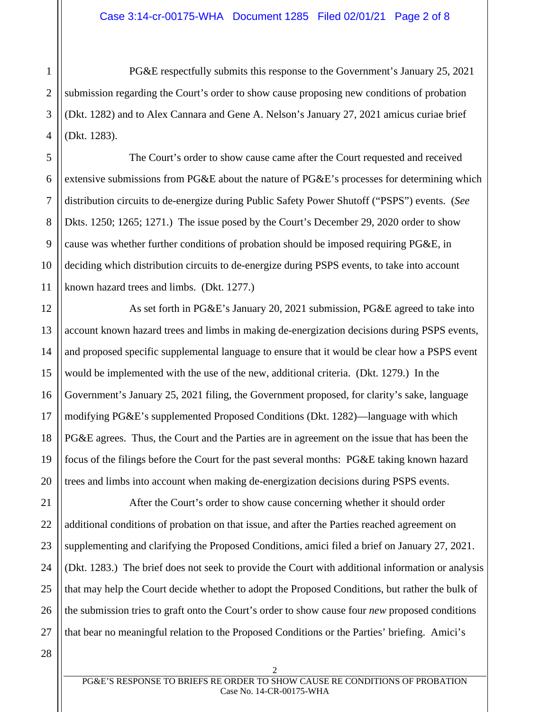2 3 4 PG&E respectfully submits this response to the Government's January 25, 2021 submission regarding the Court's order to show cause proposing new conditions of probation (Dkt. 1282) and to Alex Cannara and Gene A. Nelson's January 27, 2021 amicus curiae brief (Dkt. 1283).

The Court's order to show cause came after the Court requested and received extensive submissions from PG&E about the nature of PG&E's processes for determining which distribution circuits to de-energize during Public Safety Power Shutoff ("PSPS") events. (*See*  Dkts. 1250; 1265; 1271.) The issue posed by the Court's December 29, 2020 order to show cause was whether further conditions of probation should be imposed requiring PG&E, in deciding which distribution circuits to de-energize during PSPS events, to take into account known hazard trees and limbs. (Dkt. 1277.)

As set forth in PG&E's January 20, 2021 submission, PG&E agreed to take into account known hazard trees and limbs in making de-energization decisions during PSPS events, and proposed specific supplemental language to ensure that it would be clear how a PSPS event would be implemented with the use of the new, additional criteria. (Dkt. 1279.) In the Government's January 25, 2021 filing, the Government proposed, for clarity's sake, language modifying PG&E's supplemented Proposed Conditions (Dkt. 1282)—language with which PG&E agrees. Thus, the Court and the Parties are in agreement on the issue that has been the focus of the filings before the Court for the past several months: PG&E taking known hazard trees and limbs into account when making de-energization decisions during PSPS events.

22 23 24 25 26 After the Court's order to show cause concerning whether it should order additional conditions of probation on that issue, and after the Parties reached agreement on supplementing and clarifying the Proposed Conditions, amici filed a brief on January 27, 2021. (Dkt. 1283.) The brief does not seek to provide the Court with additional information or analysis that may help the Court decide whether to adopt the Proposed Conditions, but rather the bulk of the submission tries to graft onto the Court's order to show cause four *new* proposed conditions that bear no meaningful relation to the Proposed Conditions or the Parties' briefing. Amici's

28

27

1

5

6

7

8

9

10

11

12

13

14

15

16

17

18

19

20

21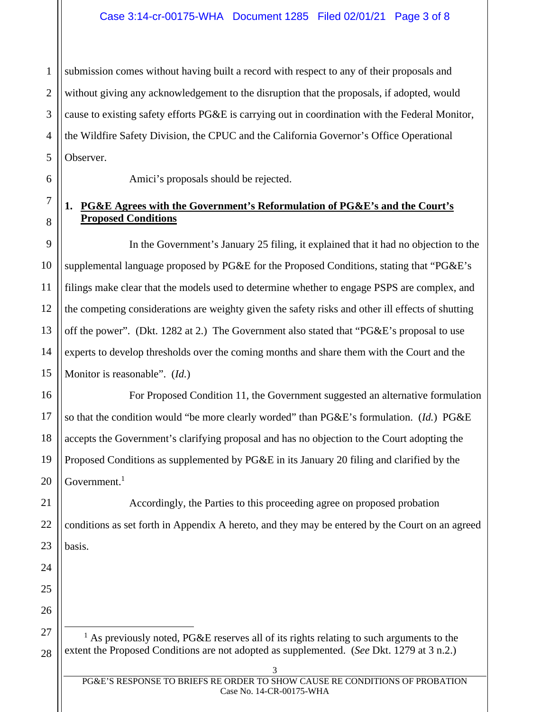1 2 3 4 5 submission comes without having built a record with respect to any of their proposals and without giving any acknowledgement to the disruption that the proposals, if adopted, would cause to existing safety efforts PG&E is carrying out in coordination with the Federal Monitor, the Wildfire Safety Division, the CPUC and the California Governor's Office Operational Observer.

6

7

8

9

10

11

12

13

14

15

16

17

18

19

20

21

22

23

24

25

26

Amici's proposals should be rejected.

### **1. PG&E Agrees with the Government's Reformulation of PG&E's and the Court's Proposed Conditions**

In the Government's January 25 filing, it explained that it had no objection to the supplemental language proposed by PG&E for the Proposed Conditions, stating that "PG&E's filings make clear that the models used to determine whether to engage PSPS are complex, and the competing considerations are weighty given the safety risks and other ill effects of shutting off the power". (Dkt. 1282 at 2.) The Government also stated that "PG&E's proposal to use experts to develop thresholds over the coming months and share them with the Court and the Monitor is reasonable". (*Id.*)

For Proposed Condition 11, the Government suggested an alternative formulation so that the condition would "be more clearly worded" than PG&E's formulation. (*Id.*) PG&E accepts the Government's clarifying proposal and has no objection to the Court adopting the Proposed Conditions as supplemented by PG&E in its January 20 filing and clarified by the Government. $1$ 

Accordingly, the Parties to this proceeding agree on proposed probation conditions as set forth in Appendix A hereto, and they may be entered by the Court on an agreed basis.

<sup>28</sup> <sup>1</sup> As previously noted, PG&E reserves all of its rights relating to such arguments to the extent the Proposed Conditions are not adopted as supplemented. (*See* Dkt. 1279 at 3 n.2.)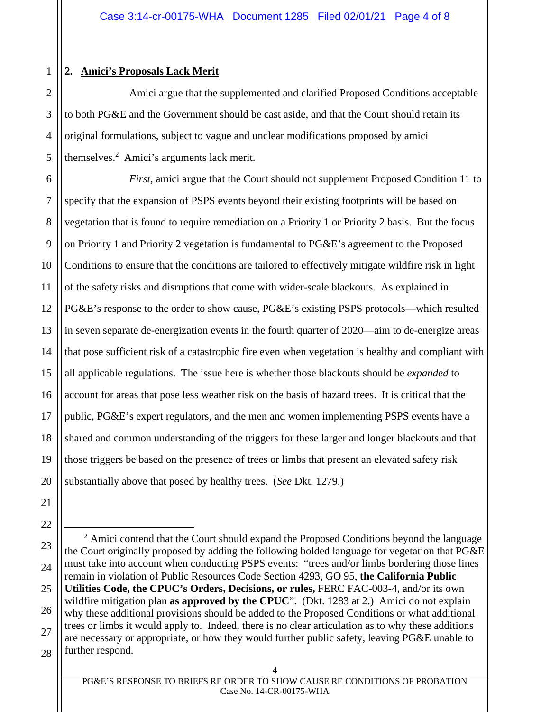# 1 2

3

4

5

## **2. Amici's Proposals Lack Merit**

Amici argue that the supplemented and clarified Proposed Conditions acceptable to both PG&E and the Government should be cast aside, and that the Court should retain its original formulations, subject to vague and unclear modifications proposed by amici themselves.2 Amici's arguments lack merit.

6 7 8 9 10 11 12 13 14 15 *First*, amici argue that the Court should not supplement Proposed Condition 11 to specify that the expansion of PSPS events beyond their existing footprints will be based on vegetation that is found to require remediation on a Priority 1 or Priority 2 basis. But the focus on Priority 1 and Priority 2 vegetation is fundamental to PG&E's agreement to the Proposed Conditions to ensure that the conditions are tailored to effectively mitigate wildfire risk in light of the safety risks and disruptions that come with wider-scale blackouts. As explained in PG&E's response to the order to show cause, PG&E's existing PSPS protocols—which resulted in seven separate de-energization events in the fourth quarter of 2020—aim to de-energize areas that pose sufficient risk of a catastrophic fire even when vegetation is healthy and compliant with all applicable regulations. The issue here is whether those blackouts should be *expanded* to account for areas that pose less weather risk on the basis of hazard trees. It is critical that the public, PG&E's expert regulators, and the men and women implementing PSPS events have a shared and common understanding of the triggers for these larger and longer blackouts and that those triggers be based on the presence of trees or limbs that present an elevated safety risk substantially above that posed by healthy trees. (*See* Dkt. 1279.)

 $2$  Amici contend that the Court should expand the Proposed Conditions beyond the language the Court originally proposed by adding the following bolded language for vegetation that PG&E must take into account when conducting PSPS events: "trees and/or limbs bordering those lines remain in violation of Public Resources Code Section 4293, GO 95, **the California Public Utilities Code, the CPUC's Orders, Decisions, or rules,** FERC FAC-003-4, and/or its own wildfire mitigation plan **as approved by the CPUC**". (Dkt. 1283 at 2.) Amici do not explain why these additional provisions should be added to the Proposed Conditions or what additional trees or limbs it would apply to. Indeed, there is no clear articulation as to why these additions are necessary or appropriate, or how they would further public safety, leaving PG&E unable to further respond.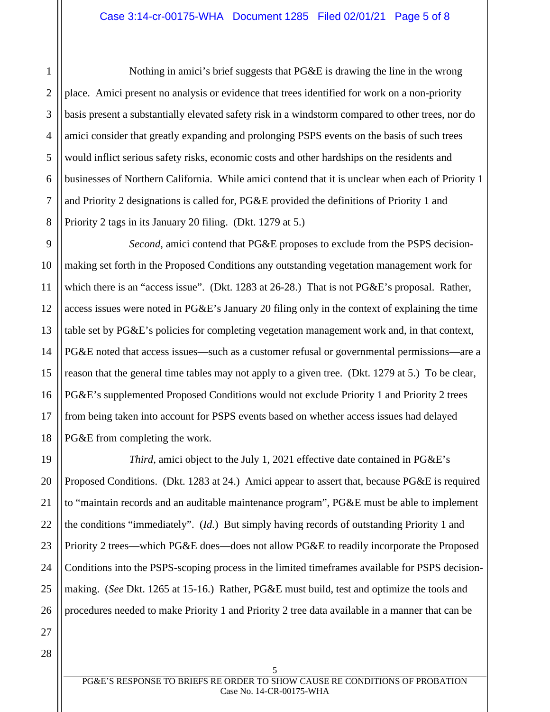Nothing in amici's brief suggests that PG&E is drawing the line in the wrong place. Amici present no analysis or evidence that trees identified for work on a non-priority basis present a substantially elevated safety risk in a windstorm compared to other trees, nor do amici consider that greatly expanding and prolonging PSPS events on the basis of such trees would inflict serious safety risks, economic costs and other hardships on the residents and businesses of Northern California. While amici contend that it is unclear when each of Priority 1 and Priority 2 designations is called for, PG&E provided the definitions of Priority 1 and Priority 2 tags in its January 20 filing. (Dkt. 1279 at 5.)

*Second*, amici contend that PG&E proposes to exclude from the PSPS decisionmaking set forth in the Proposed Conditions any outstanding vegetation management work for which there is an "access issue". (Dkt. 1283 at 26-28.) That is not PG&E's proposal. Rather, access issues were noted in PG&E's January 20 filing only in the context of explaining the time table set by PG&E's policies for completing vegetation management work and, in that context, PG&E noted that access issues—such as a customer refusal or governmental permissions—are a reason that the general time tables may not apply to a given tree. (Dkt. 1279 at 5.) To be clear, PG&E's supplemented Proposed Conditions would not exclude Priority 1 and Priority 2 trees from being taken into account for PSPS events based on whether access issues had delayed PG&E from completing the work.

*Third*, amici object to the July 1, 2021 effective date contained in PG&E's Proposed Conditions. (Dkt. 1283 at 24.) Amici appear to assert that, because PG&E is required to "maintain records and an auditable maintenance program", PG&E must be able to implement the conditions "immediately". (*Id.*) But simply having records of outstanding Priority 1 and Priority 2 trees—which PG&E does—does not allow PG&E to readily incorporate the Proposed Conditions into the PSPS-scoping process in the limited timeframes available for PSPS decisionmaking. (*See* Dkt. 1265 at 15-16.) Rather, PG&E must build, test and optimize the tools and procedures needed to make Priority 1 and Priority 2 tree data available in a manner that can be

1

2

3

4

5

6

7

8

9

10

11

12

13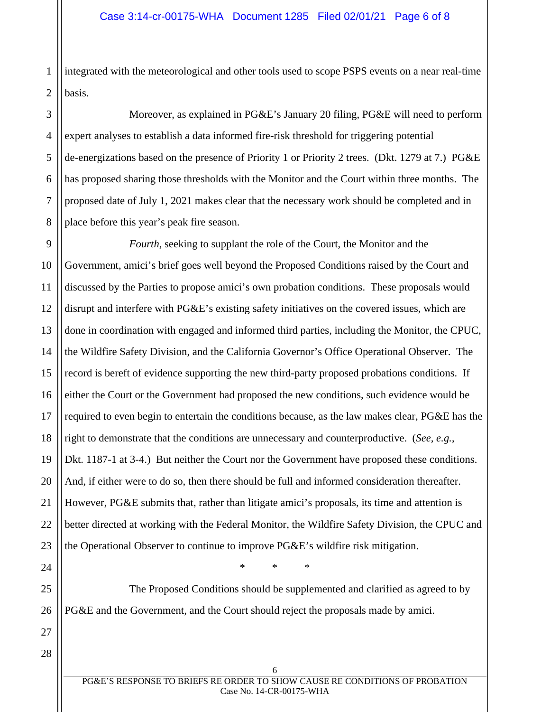1 2 integrated with the meteorological and other tools used to scope PSPS events on a near real-time basis.

4 6 8 Moreover, as explained in PG&E's January 20 filing, PG&E will need to perform expert analyses to establish a data informed fire-risk threshold for triggering potential de-energizations based on the presence of Priority 1 or Priority 2 trees. (Dkt. 1279 at 7.) PG&E has proposed sharing those thresholds with the Monitor and the Court within three months. The proposed date of July 1, 2021 makes clear that the necessary work should be completed and in place before this year's peak fire season.

9 10 11 12 13 14 15 16 17 18 19 20 21 22 23 *Fourth*, seeking to supplant the role of the Court, the Monitor and the Government, amici's brief goes well beyond the Proposed Conditions raised by the Court and discussed by the Parties to propose amici's own probation conditions. These proposals would disrupt and interfere with PG&E's existing safety initiatives on the covered issues, which are done in coordination with engaged and informed third parties, including the Monitor, the CPUC, the Wildfire Safety Division, and the California Governor's Office Operational Observer. The record is bereft of evidence supporting the new third-party proposed probations conditions. If either the Court or the Government had proposed the new conditions, such evidence would be required to even begin to entertain the conditions because, as the law makes clear, PG&E has the right to demonstrate that the conditions are unnecessary and counterproductive. (*See, e.g.*, Dkt. 1187-1 at 3-4.) But neither the Court nor the Government have proposed these conditions. And, if either were to do so, then there should be full and informed consideration thereafter. However, PG&E submits that, rather than litigate amici's proposals, its time and attention is better directed at working with the Federal Monitor, the Wildfire Safety Division, the CPUC and the Operational Observer to continue to improve PG&E's wildfire risk mitigation.

\* \* \*

The Proposed Conditions should be supplemented and clarified as agreed to by PG&E and the Government, and the Court should reject the proposals made by amici.

28

24

25

26

27

3

5

7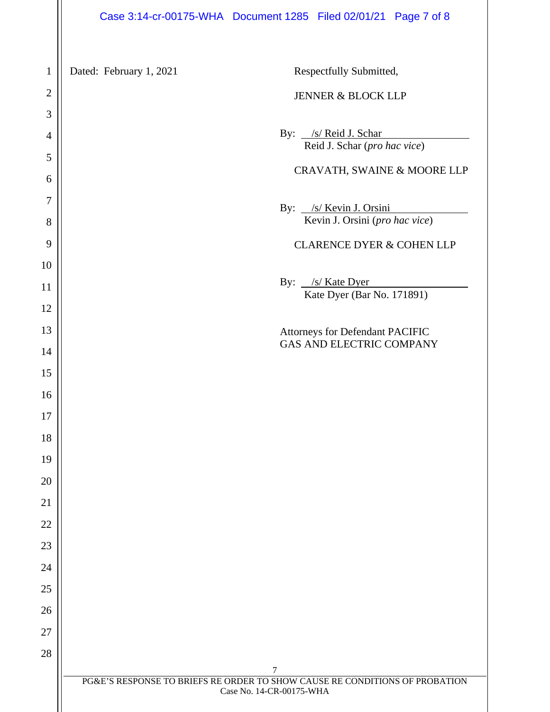#### Case 3:14-cr-00175-WHA Document 1285 Filed 02/01/21 Page 7 of 8

 PG&E'S RESPONSE TO BRIEFS RE ORDER TO SHOW CAUSE RE CONDITIONS OF PROBATION Case No. 14-CR-00175-WHA Dated: February 1, 2021 Respectfully Submitted, JENNER & BLOCK LLP By: /s/ Reid J. Schar Reid J. Schar (*pro hac vice*) CRAVATH, SWAINE & MOORE LLP By: /s/ Kevin J. Orsini Kevin J. Orsini (*pro hac vice*) CLARENCE DYER & COHEN LLP By: <u>/s/ Kate Dyer</u> Kate Dyer (Bar No. 171891) Attorneys for Defendant PACIFIC GAS AND ELECTRIC COMPANY